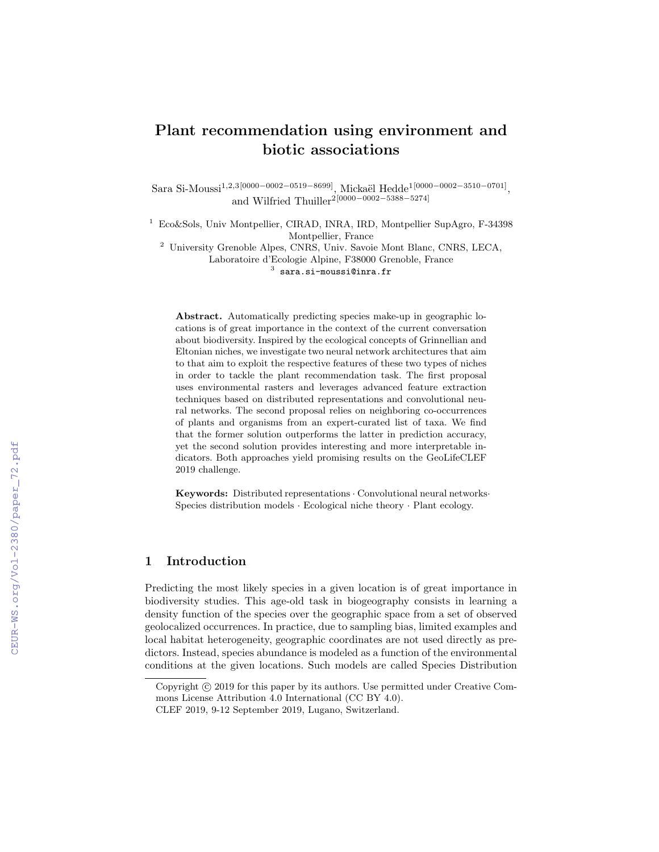# Plant recommendation using environment and biotic associations

Sara Si-Moussi<sup>1,2,3</sup>[0000−0002−0519−8699], Mickaël Hedde<sup>1</sup>[0000−0002−3510−0701], and Wilfried Thuiller<sup>2[0000–0002–5388–5274]</sup>

<sup>1</sup> Eco&Sols, Univ Montpellier, CIRAD, INRA, IRD, Montpellier SupAgro, F-34398 Montpellier, France

<sup>2</sup> University Grenoble Alpes, CNRS, Univ. Savoie Mont Blanc, CNRS, LECA, Laboratoire d'Ecologie Alpine, F38000 Grenoble, France  $^3$  sara.si-moussi@inra.fr

Abstract. Automatically predicting species make-up in geographic locations is of great importance in the context of the current conversation about biodiversity. Inspired by the ecological concepts of Grinnellian and Eltonian niches, we investigate two neural network architectures that aim to that aim to exploit the respective features of these two types of niches in order to tackle the plant recommendation task. The first proposal uses environmental rasters and leverages advanced feature extraction techniques based on distributed representations and convolutional neural networks. The second proposal relies on neighboring co-occurrences of plants and organisms from an expert-curated list of taxa. We find that the former solution outperforms the latter in prediction accuracy, yet the second solution provides interesting and more interpretable indicators. Both approaches yield promising results on the GeoLifeCLEF 2019 challenge.

Keywords: Distributed representations · Convolutional neural networks· Species distribution models · Ecological niche theory · Plant ecology.

# 1 Introduction

Predicting the most likely species in a given location is of great importance in biodiversity studies. This age-old task in biogeography consists in learning a density function of the species over the geographic space from a set of observed geolocalized occurrences. In practice, due to sampling bias, limited examples and local habitat heterogeneity, geographic coordinates are not used directly as predictors. Instead, species abundance is modeled as a function of the environmental conditions at the given locations. Such models are called Species Distribution

Copyright  $\odot$  2019 for this paper by its authors. Use permitted under Creative Commons License Attribution 4.0 International (CC BY 4.0).

CLEF 2019, 9-12 September 2019, Lugano, Switzerland.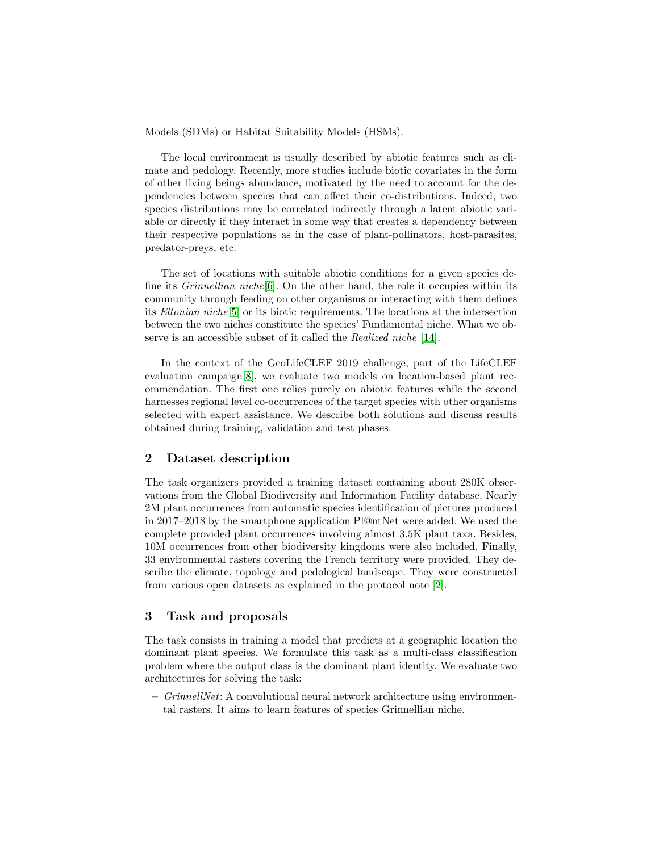Models (SDMs) or Habitat Suitability Models (HSMs).

The local environment is usually described by abiotic features such as climate and pedology. Recently, more studies include biotic covariates in the form of other living beings abundance, motivated by the need to account for the dependencies between species that can affect their co-distributions. Indeed, two species distributions may be correlated indirectly through a latent abiotic variable or directly if they interact in some way that creates a dependency between their respective populations as in the case of plant-pollinators, host-parasites, predator-preys, etc.

The set of locations with suitable abiotic conditions for a given species define its *Grinnellian niche*[\[6\]](#page-11-0). On the other hand, the role it occupies within its community through feeding on other organisms or interacting with them defines its Eltonian niche[\[5\]](#page-11-1) or its biotic requirements. The locations at the intersection between the two niches constitute the species' Fundamental niche. What we observe is an accessible subset of it called the Realized niche [\[14\]](#page-12-0).

In the context of the GeoLifeCLEF 2019 challenge, part of the LifeCLEF evaluation campaign[\[8\]](#page-12-1), we evaluate two models on location-based plant recommendation. The first one relies purely on abiotic features while the second harnesses regional level co-occurrences of the target species with other organisms selected with expert assistance. We describe both solutions and discuss results obtained during training, validation and test phases.

# 2 Dataset description

The task organizers provided a training dataset containing about 280K observations from the Global Biodiversity and Information Facility database. Nearly 2M plant occurrences from automatic species identification of pictures produced in 2017–2018 by the smartphone application Pl@ntNet were added. We used the complete provided plant occurrences involving almost 3.5K plant taxa. Besides, 10M occurrences from other biodiversity kingdoms were also included. Finally, 33 environmental rasters covering the French territory were provided. They describe the climate, topology and pedological landscape. They were constructed from various open datasets as explained in the protocol note [\[2\]](#page-11-2).

# 3 Task and proposals

The task consists in training a model that predicts at a geographic location the dominant plant species. We formulate this task as a multi-class classification problem where the output class is the dominant plant identity. We evaluate two architectures for solving the task:

 $-GrinnellNet: A convolutional neural network architecture using environment$ tal rasters. It aims to learn features of species Grinnellian niche.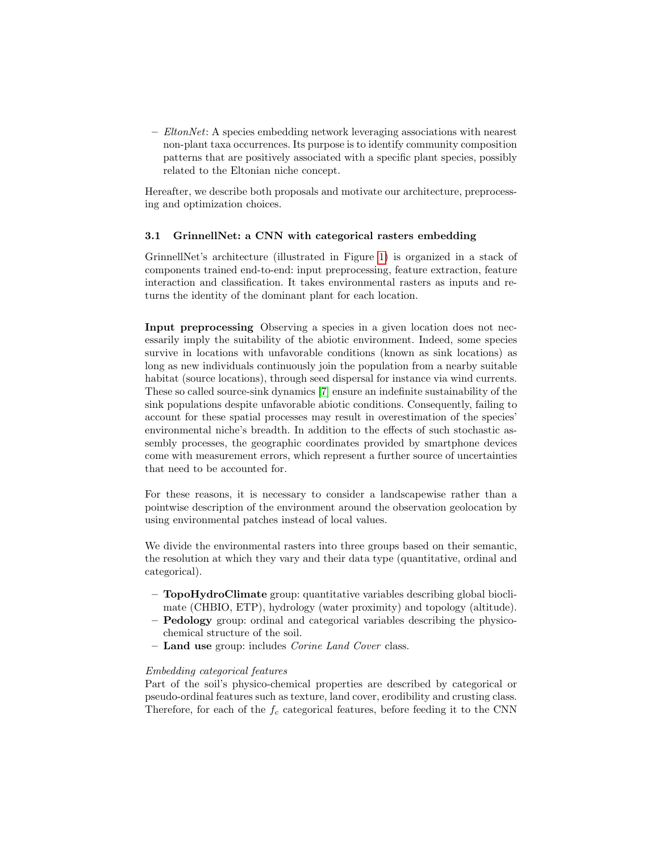$-$  *EltonNet*: A species embedding network leveraging associations with nearest non-plant taxa occurrences. Its purpose is to identify community composition patterns that are positively associated with a specific plant species, possibly related to the Eltonian niche concept.

Hereafter, we describe both proposals and motivate our architecture, preprocessing and optimization choices.

## <span id="page-2-0"></span>3.1 GrinnellNet: a CNN with categorical rasters embedding

GrinnellNet's architecture (illustrated in Figure [1\)](#page-3-0) is organized in a stack of components trained end-to-end: input preprocessing, feature extraction, feature interaction and classification. It takes environmental rasters as inputs and returns the identity of the dominant plant for each location.

Input preprocessing Observing a species in a given location does not necessarily imply the suitability of the abiotic environment. Indeed, some species survive in locations with unfavorable conditions (known as sink locations) as long as new individuals continuously join the population from a nearby suitable habitat (source locations), through seed dispersal for instance via wind currents. These so called source-sink dynamics [\[7\]](#page-11-3) ensure an indefinite sustainability of the sink populations despite unfavorable abiotic conditions. Consequently, failing to account for these spatial processes may result in overestimation of the species' environmental niche's breadth. In addition to the effects of such stochastic assembly processes, the geographic coordinates provided by smartphone devices come with measurement errors, which represent a further source of uncertainties that need to be accounted for.

For these reasons, it is necessary to consider a landscapewise rather than a pointwise description of the environment around the observation geolocation by using environmental patches instead of local values.

We divide the environmental rasters into three groups based on their semantic, the resolution at which they vary and their data type (quantitative, ordinal and categorical).

- TopoHydroClimate group: quantitative variables describing global bioclimate (CHBIO, ETP), hydrology (water proximity) and topology (altitude).
- Pedology group: ordinal and categorical variables describing the physicochemical structure of the soil.
- Land use group: includes *Corine Land Cover* class.

## Embedding categorical features

Part of the soil's physico-chemical properties are described by categorical or pseudo-ordinal features such as texture, land cover, erodibility and crusting class. Therefore, for each of the  $f_c$  categorical features, before feeding it to the CNN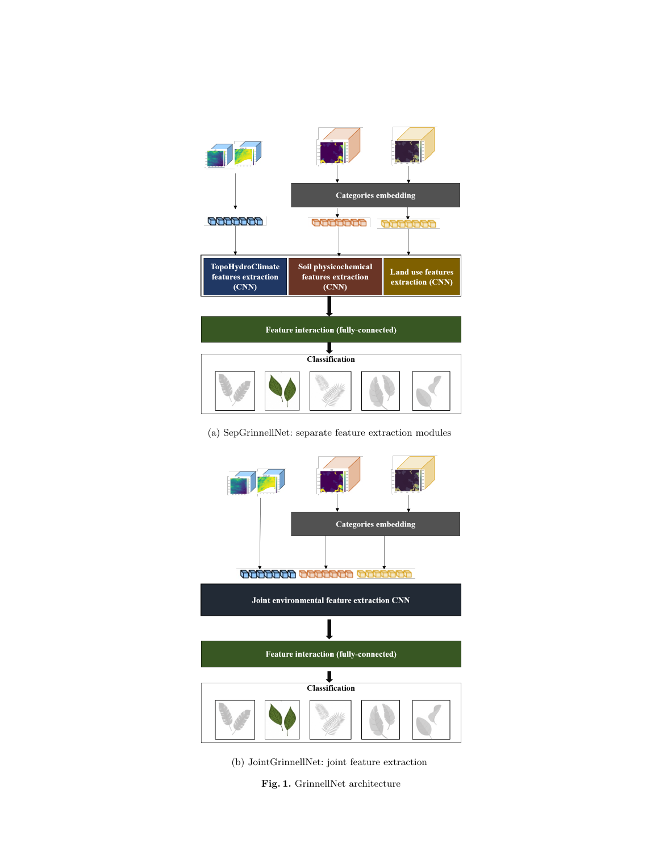

#### (a) SepGrinnellNet: separate feature extraction modules



- <span id="page-3-0"></span>(b) JointGrinnellNet: joint feature extraction
	- Fig. 1. GrinnellNet architecture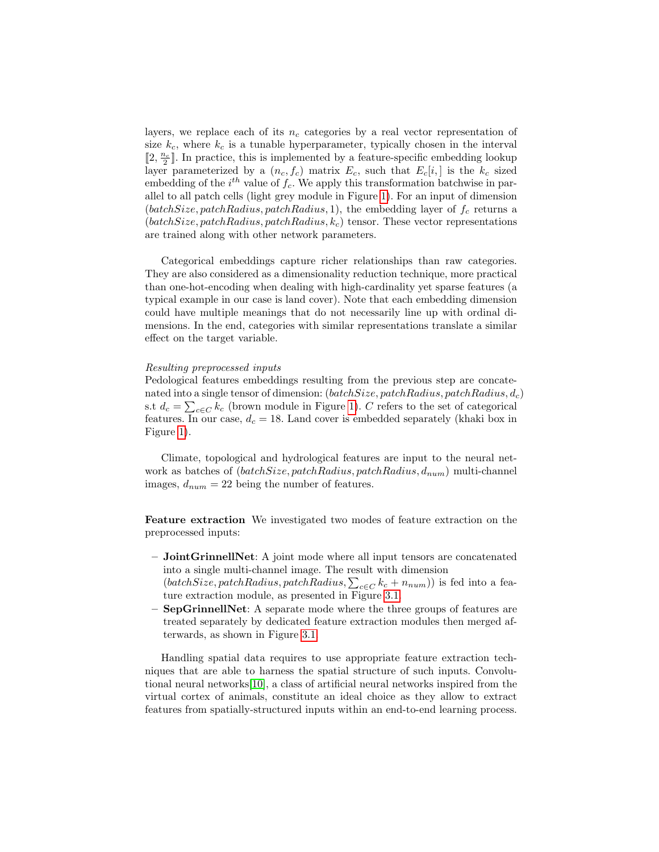layers, we replace each of its  $n_c$  categories by a real vector representation of size  $k_c$ , where  $k_c$  is a tunable hyperparameter, typically chosen in the interval  $[2, \frac{n_c}{2}]$  In practice, this is implemented by a feature-specific embedding lookup layer parameterized by a  $(n_c, f_c)$  matrix  $E_c$ , such that  $E_c[i, ]$  is the  $k_c$  sized embedding of the  $i^{th}$  value of  $f_c$ . We apply this transformation batchwise in parallel to all patch cells (light grey module in Figure [1\)](#page-3-0). For an input of dimension (batchSize, patchRadius, patchRadius, 1), the embedding layer of  $f_c$  returns a  $(batchSize, patchRadius, patchRadius, k_c)$  tensor. These vector representations are trained along with other network parameters.

Categorical embeddings capture richer relationships than raw categories. They are also considered as a dimensionality reduction technique, more practical than one-hot-encoding when dealing with high-cardinality yet sparse features (a typical example in our case is land cover). Note that each embedding dimension could have multiple meanings that do not necessarily line up with ordinal dimensions. In the end, categories with similar representations translate a similar effect on the target variable.

#### Resulting preprocessed inputs

Pedological features embeddings resulting from the previous step are concatenated into a single tensor of dimension:  $(batchSize, patchRadius, patchRadius, d_c)$ s.t  $d_c = \sum_{c \in C} k_c$  (brown module in Figure [1\)](#page-3-0). C refers to the set of categorical features. In our case,  $d_c = 18$ . Land cover is embedded separately (khaki box in Figure [1\)](#page-3-0).

Climate, topological and hydrological features are input to the neural network as batches of  $(batchSize, patchRadius, patchRadius, d_{num})$  multi-channel images,  $d_{num} = 22$  being the number of features.

Feature extraction We investigated two modes of feature extraction on the preprocessed inputs:

- JointGrinnellNet: A joint mode where all input tensors are concatenated into a single multi-channel image. The result with dimension (batchSize, patchRadius, patchRadius,  $\sum_{c \in C} k_c + n_{num}$ )) is fed into a feature extraction module, as presented in Figure [3.1.](#page-2-0)
- SepGrinnellNet: A separate mode where the three groups of features are treated separately by dedicated feature extraction modules then merged afterwards, as shown in Figure [3.1.](#page-2-0)

Handling spatial data requires to use appropriate feature extraction techniques that are able to harness the spatial structure of such inputs. Convolutional neural networks[\[10\]](#page-12-2), a class of artificial neural networks inspired from the virtual cortex of animals, constitute an ideal choice as they allow to extract features from spatially-structured inputs within an end-to-end learning process.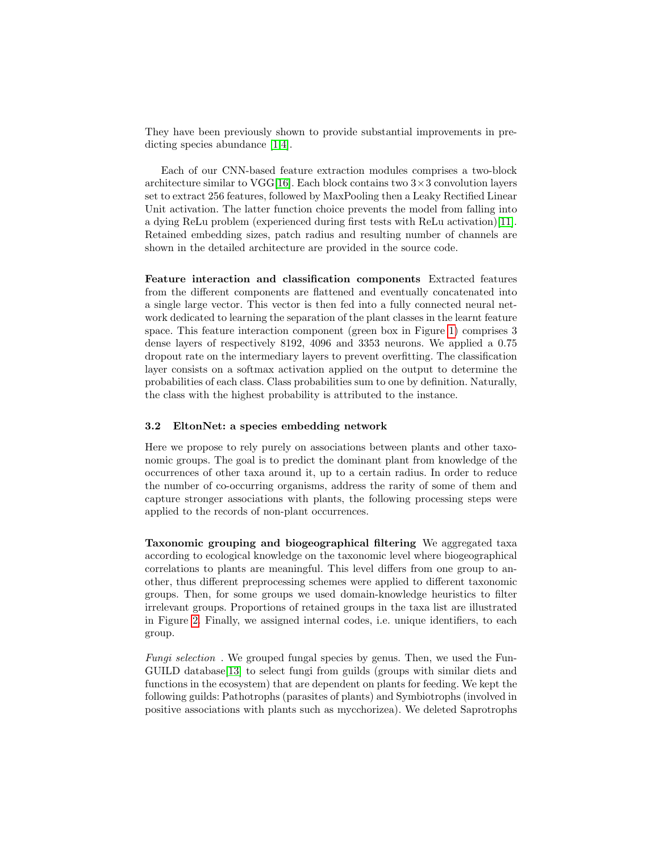They have been previously shown to provide substantial improvements in predicting species abundance [\[1,](#page-11-4)[4\]](#page-11-5).

Each of our CNN-based feature extraction modules comprises a two-block architecture similar to VGG[\[16\]](#page-12-3). Each block contains two  $3 \times 3$  convolution layers set to extract 256 features, followed by MaxPooling then a Leaky Rectified Linear Unit activation. The latter function choice prevents the model from falling into a dying ReLu problem (experienced during first tests with ReLu activation)[\[11\]](#page-12-4). Retained embedding sizes, patch radius and resulting number of channels are shown in the detailed architecture are provided in the source code.

Feature interaction and classification components Extracted features from the different components are flattened and eventually concatenated into a single large vector. This vector is then fed into a fully connected neural network dedicated to learning the separation of the plant classes in the learnt feature space. This feature interaction component (green box in Figure [1\)](#page-3-0) comprises 3 dense layers of respectively 8192, 4096 and 3353 neurons. We applied a 0.75 dropout rate on the intermediary layers to prevent overfitting. The classification layer consists on a softmax activation applied on the output to determine the probabilities of each class. Class probabilities sum to one by definition. Naturally, the class with the highest probability is attributed to the instance.

## 3.2 EltonNet: a species embedding network

Here we propose to rely purely on associations between plants and other taxonomic groups. The goal is to predict the dominant plant from knowledge of the occurrences of other taxa around it, up to a certain radius. In order to reduce the number of co-occurring organisms, address the rarity of some of them and capture stronger associations with plants, the following processing steps were applied to the records of non-plant occurrences.

Taxonomic grouping and biogeographical filtering We aggregated taxa according to ecological knowledge on the taxonomic level where biogeographical correlations to plants are meaningful. This level differs from one group to another, thus different preprocessing schemes were applied to different taxonomic groups. Then, for some groups we used domain-knowledge heuristics to filter irrelevant groups. Proportions of retained groups in the taxa list are illustrated in Figure [2.](#page-6-0) Finally, we assigned internal codes, i.e. unique identifiers, to each group.

Fungi selection. We grouped fungal species by genus. Then, we used the Fun-GUILD database[\[13\]](#page-12-5) to select fungi from guilds (groups with similar diets and functions in the ecosystem) that are dependent on plants for feeding. We kept the following guilds: Pathotrophs (parasites of plants) and Symbiotrophs (involved in positive associations with plants such as mycchorizea). We deleted Saprotrophs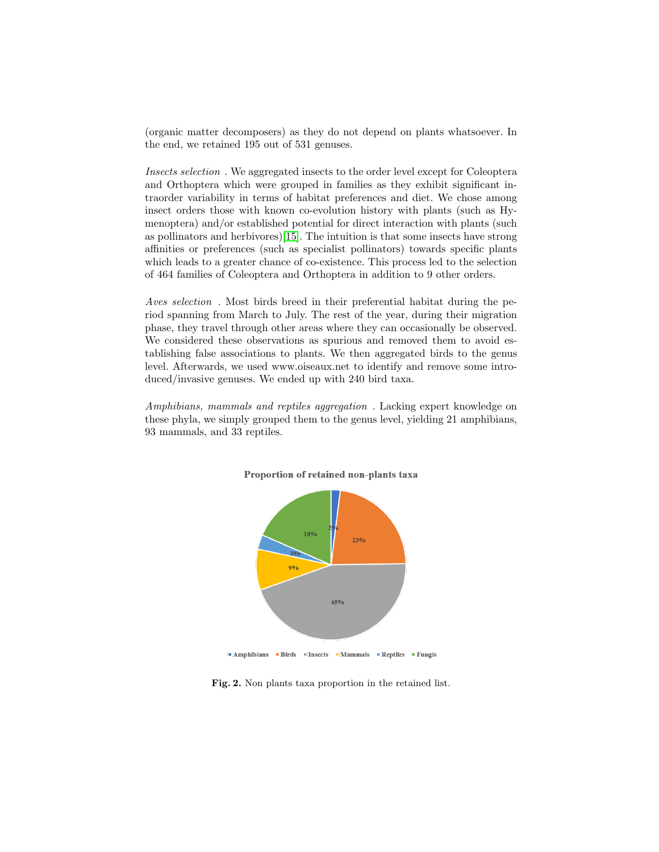(organic matter decomposers) as they do not depend on plants whatsoever. In the end, we retained 195 out of 531 genuses.

Insects selection . We aggregated insects to the order level except for Coleoptera and Orthoptera which were grouped in families as they exhibit significant intraorder variability in terms of habitat preferences and diet. We chose among insect orders those with known co-evolution history with plants (such as Hymenoptera) and/or established potential for direct interaction with plants (such as pollinators and herbivores)[\[15\]](#page-12-6). The intuition is that some insects have strong affinities or preferences (such as specialist pollinators) towards specific plants which leads to a greater chance of co-existence. This process led to the selection of 464 families of Coleoptera and Orthoptera in addition to 9 other orders.

Aves selection . Most birds breed in their preferential habitat during the period spanning from March to July. The rest of the year, during their migration phase, they travel through other areas where they can occasionally be observed. We considered these observations as spurious and removed them to avoid establishing false associations to plants. We then aggregated birds to the genus level. Afterwards, we used www.oiseaux.net to identify and remove some introduced/invasive genuses. We ended up with 240 bird taxa.

Amphibians, mammals and reptiles aggregation . Lacking expert knowledge on these phyla, we simply grouped them to the genus level, yielding 21 amphibians, 93 mammals, and 33 reptiles.



#### Proportion of retained non-plants taxa

<span id="page-6-0"></span>**LAmphibians Birds Insects Mammals Reptiles Fungis** 

Fig. 2. Non plants taxa proportion in the retained list.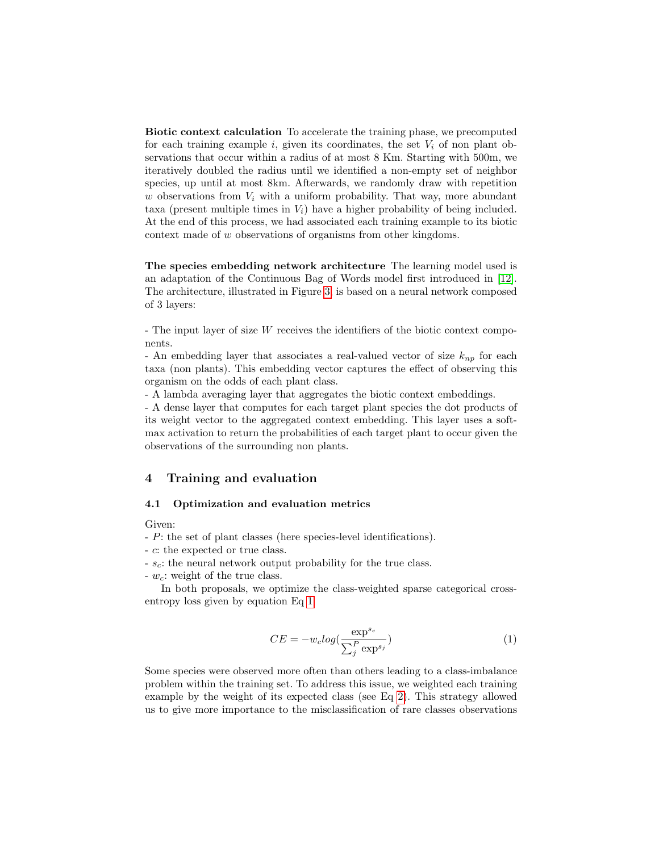Biotic context calculation To accelerate the training phase, we precomputed for each training example i, given its coordinates, the set  $V_i$  of non plant observations that occur within a radius of at most 8 Km. Starting with 500m, we iteratively doubled the radius until we identified a non-empty set of neighbor species, up until at most 8km. Afterwards, we randomly draw with repetition w observations from  $V_i$  with a uniform probability. That way, more abundant taxa (present multiple times in  $V_i$ ) have a higher probability of being included. At the end of this process, we had associated each training example to its biotic context made of w observations of organisms from other kingdoms.

The species embedding network architecture The learning model used is an adaptation of the Continuous Bag of Words model first introduced in [\[12\]](#page-12-7). The architecture, illustrated in Figure [3,](#page-8-0) is based on a neural network composed of 3 layers:

- The input layer of size W receives the identifiers of the biotic context components.

- An embedding layer that associates a real-valued vector of size  $k_{nn}$  for each taxa (non plants). This embedding vector captures the effect of observing this organism on the odds of each plant class.

- A lambda averaging layer that aggregates the biotic context embeddings.

- A dense layer that computes for each target plant species the dot products of its weight vector to the aggregated context embedding. This layer uses a softmax activation to return the probabilities of each target plant to occur given the observations of the surrounding non plants.

# 4 Training and evaluation

#### 4.1 Optimization and evaluation metrics

Given:

- P: the set of plant classes (here species-level identifications).
- c: the expected or true class.
- $s_c$ : the neural network output probability for the true class.
- $-w<sub>c</sub>$ : weight of the true class.

In both proposals, we optimize the class-weighted sparse categorical crossentropy loss given by equation Eq [1](#page-7-0)

<span id="page-7-0"></span>
$$
CE = -w_c \log(\frac{\exp^{s_c}}{\sum_j^P \exp^{s_j}})
$$
\n(1)

Some species were observed more often than others leading to a class-imbalance problem within the training set. To address this issue, we weighted each training example by the weight of its expected class (see Eq [2\)](#page-8-1). This strategy allowed us to give more importance to the misclassification of rare classes observations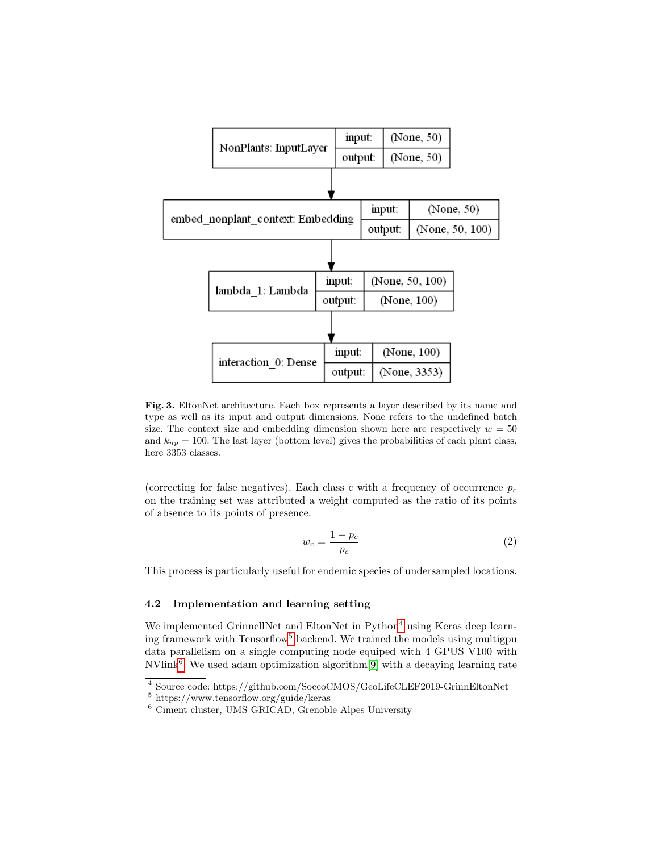

<span id="page-8-0"></span>Fig. 3. EltonNet architecture. Each box represents a layer described by its name and type as well as its input and output dimensions. None refers to the undefined batch size. The context size and embedding dimension shown here are respectively  $w = 50$ and  $k_{np} = 100$ . The last layer (bottom level) gives the probabilities of each plant class, here 3353 classes.

(correcting for false negatives). Each class c with a frequency of occurrence  $p_c$ on the training set was attributed a weight computed as the ratio of its points of absence to its points of presence.

<span id="page-8-1"></span>
$$
w_c = \frac{1 - p_c}{p_c} \tag{2}
$$

This process is particularly useful for endemic species of undersampled locations.

## 4.2 Implementation and learning setting

We implemented GrinnellNet and EltonNet in Python<sup>[4](#page-8-2)</sup> using Keras deep learn-ing framework with Tensorflow<sup>[5](#page-8-3)</sup> backend. We trained the models using multigpu data parallelism on a single computing node equiped with 4 GPUS V100 with  $\text{NVlink}^6$  $\text{NVlink}^6$ . We used adam optimization algorithm<sup>[\[9\]](#page-12-8)</sup> with a decaying learning rate

<span id="page-8-2"></span> $\overline{{}^4}$  Source code: https://github.com/SoccoCMOS/GeoLifeCLEF2019-GrinnEltonNet

<span id="page-8-3"></span><sup>5</sup> https://www.tensorflow.org/guide/keras

<span id="page-8-4"></span><sup>6</sup> Ciment cluster, UMS GRICAD, Grenoble Alpes University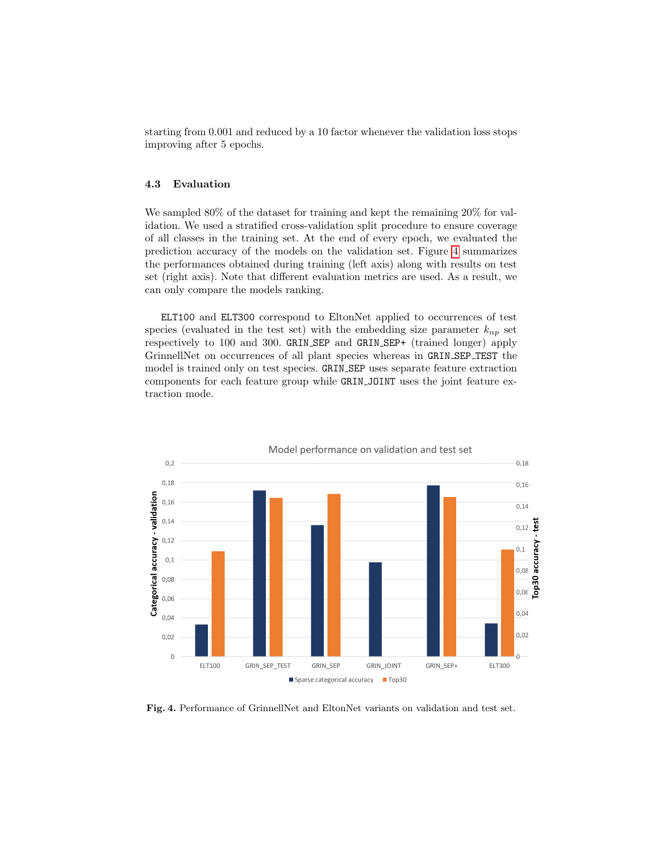starting from 0.001 and reduced by a 10 factor whenever the validation loss stops improving after 5 epochs.

## 4.3 Evaluation

We sampled 80% of the dataset for training and kept the remaining 20% for validation. We used a stratified cross-validation split procedure to ensure coverage of all classes in the training set. At the end of every epoch, we evaluated the prediction accuracy of the models on the validation set. Figure [4](#page-9-0) summarizes the performances obtained during training (left axis) along with results on test set (right axis). Note that different evaluation metrics are used. As a result, we can only compare the models ranking.

ELT100 and ELT300 correspond to EltonNet applied to occurrences of test species (evaluated in the test set) with the embedding size parameter  $k_{np}$  set respectively to 100 and 300. GRIN SEP and GRIN SEP+ (trained longer) apply GrinnellNet on occurrences of all plant species whereas in GRIN SEP TEST the model is trained only on test species. GRIN SEP uses separate feature extraction components for each feature group while GRIN JOINT uses the joint feature extraction mode.



<span id="page-9-0"></span>Fig. 4. Performance of GrinnellNet and EltonNet variants on validation and test set.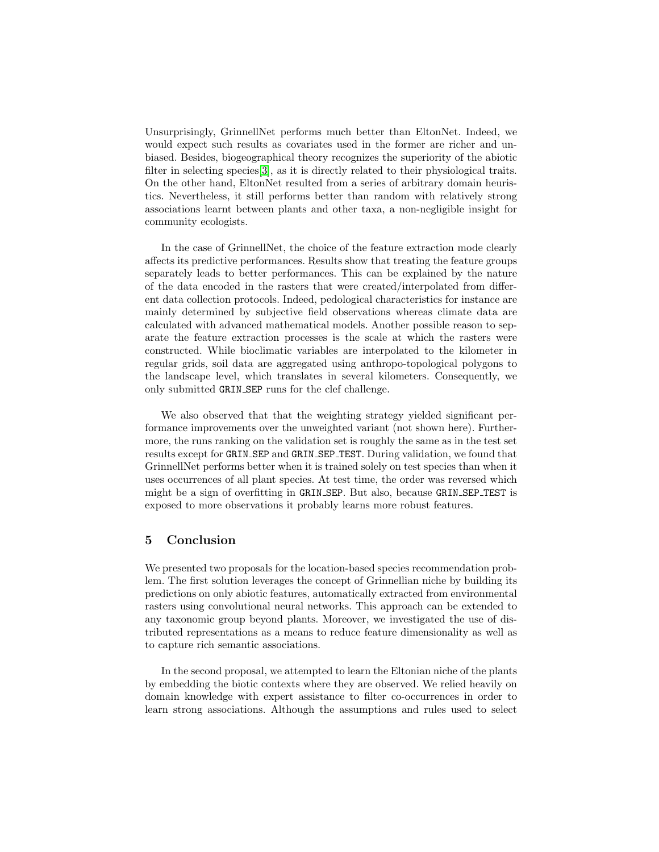Unsurprisingly, GrinnellNet performs much better than EltonNet. Indeed, we would expect such results as covariates used in the former are richer and unbiased. Besides, biogeographical theory recognizes the superiority of the abiotic filter in selecting species[\[3\]](#page-11-6), as it is directly related to their physiological traits. On the other hand, EltonNet resulted from a series of arbitrary domain heuristics. Nevertheless, it still performs better than random with relatively strong associations learnt between plants and other taxa, a non-negligible insight for community ecologists.

In the case of GrinnellNet, the choice of the feature extraction mode clearly affects its predictive performances. Results show that treating the feature groups separately leads to better performances. This can be explained by the nature of the data encoded in the rasters that were created/interpolated from different data collection protocols. Indeed, pedological characteristics for instance are mainly determined by subjective field observations whereas climate data are calculated with advanced mathematical models. Another possible reason to separate the feature extraction processes is the scale at which the rasters were constructed. While bioclimatic variables are interpolated to the kilometer in regular grids, soil data are aggregated using anthropo-topological polygons to the landscape level, which translates in several kilometers. Consequently, we only submitted GRIN SEP runs for the clef challenge.

We also observed that that the weighting strategy yielded significant performance improvements over the unweighted variant (not shown here). Furthermore, the runs ranking on the validation set is roughly the same as in the test set results except for GRIN SEP and GRIN SEP TEST. During validation, we found that GrinnellNet performs better when it is trained solely on test species than when it uses occurrences of all plant species. At test time, the order was reversed which might be a sign of overfitting in GRIN SEP. But also, because GRIN SEP TEST is exposed to more observations it probably learns more robust features.

# 5 Conclusion

We presented two proposals for the location-based species recommendation problem. The first solution leverages the concept of Grinnellian niche by building its predictions on only abiotic features, automatically extracted from environmental rasters using convolutional neural networks. This approach can be extended to any taxonomic group beyond plants. Moreover, we investigated the use of distributed representations as a means to reduce feature dimensionality as well as to capture rich semantic associations.

In the second proposal, we attempted to learn the Eltonian niche of the plants by embedding the biotic contexts where they are observed. We relied heavily on domain knowledge with expert assistance to filter co-occurrences in order to learn strong associations. Although the assumptions and rules used to select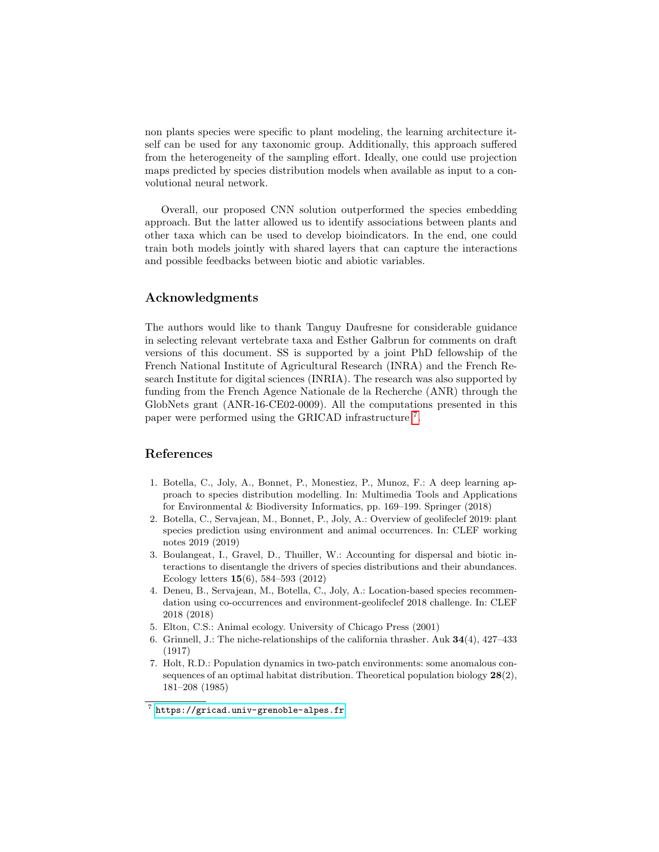non plants species were specific to plant modeling, the learning architecture itself can be used for any taxonomic group. Additionally, this approach suffered from the heterogeneity of the sampling effort. Ideally, one could use projection maps predicted by species distribution models when available as input to a convolutional neural network.

Overall, our proposed CNN solution outperformed the species embedding approach. But the latter allowed us to identify associations between plants and other taxa which can be used to develop bioindicators. In the end, one could train both models jointly with shared layers that can capture the interactions and possible feedbacks between biotic and abiotic variables.

## Acknowledgments

The authors would like to thank Tanguy Daufresne for considerable guidance in selecting relevant vertebrate taxa and Esther Galbrun for comments on draft versions of this document. SS is supported by a joint PhD fellowship of the French National Institute of Agricultural Research (INRA) and the French Research Institute for digital sciences (INRIA). The research was also supported by funding from the French Agence Nationale de la Recherche (ANR) through the GlobNets grant (ANR-16-CE02-0009). All the computations presented in this paper were performed using the GRICAD infrastructure [7](#page-11-7) .

# References

- <span id="page-11-4"></span>1. Botella, C., Joly, A., Bonnet, P., Monestiez, P., Munoz, F.: A deep learning approach to species distribution modelling. In: Multimedia Tools and Applications for Environmental & Biodiversity Informatics, pp. 169–199. Springer (2018)
- <span id="page-11-2"></span>2. Botella, C., Servajean, M., Bonnet, P., Joly, A.: Overview of geolifeclef 2019: plant species prediction using environment and animal occurrences. In: CLEF working notes 2019 (2019)
- <span id="page-11-6"></span>3. Boulangeat, I., Gravel, D., Thuiller, W.: Accounting for dispersal and biotic interactions to disentangle the drivers of species distributions and their abundances. Ecology letters 15(6), 584–593 (2012)
- <span id="page-11-5"></span>4. Deneu, B., Servajean, M., Botella, C., Joly, A.: Location-based species recommendation using co-occurrences and environment-geolifeclef 2018 challenge. In: CLEF 2018 (2018)
- <span id="page-11-1"></span>5. Elton, C.S.: Animal ecology. University of Chicago Press (2001)
- <span id="page-11-0"></span>6. Grinnell, J.: The niche-relationships of the california thrasher. Auk  $34(4)$ ,  $427-433$ (1917)
- <span id="page-11-3"></span>7. Holt, R.D.: Population dynamics in two-patch environments: some anomalous consequences of an optimal habitat distribution. Theoretical population biology  $28(2)$ , 181–208 (1985)

<span id="page-11-7"></span> $\frac{7}{7}$  <https://gricad.univ-grenoble-alpes.fr>